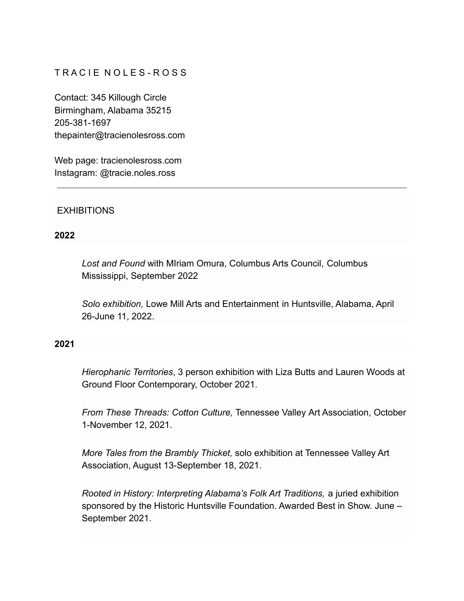## TRACIE NOI ES-ROSS

Contact: 345 Killough Circle Birmingham, Alabama 35215 205-381-1697 thepainter@tracienolesross.com

Web page: tracienolesross.com Instagram: @tracie.noles.ross

## **EXHIBITIONS**

#### **2022**

*Lost and Found* with MIriam Omura, Columbus Arts Council, Columbus Mississippi, September 2022

*Solo exhibition,* Lowe Mill Arts and Entertainment in Huntsville, Alabama, April 26-June 11, 2022.

## **2021**

*Hierophanic Territories*, 3 person exhibition with Liza Butts and Lauren Woods at Ground Floor Contemporary, October 2021.

*From These Threads: Cotton Culture,* Tennessee Valley Art Association, October 1-November 12, 2021.

*More Tales from the Brambly Thicket,* solo exhibition at Tennessee Valley Art Association, August 13-September 18, 2021.

*Rooted in History: Interpreting Alabama's Folk Art Traditions,* a juried exhibition sponsored by the Historic Huntsville Foundation. Awarded Best in Show. June – September 2021.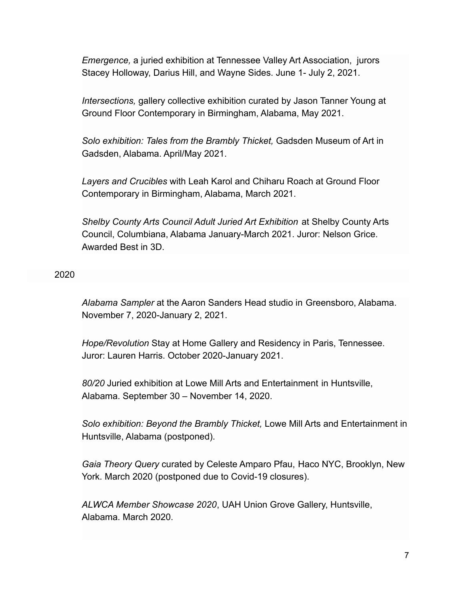*Emergence,* a juried exhibition at Tennessee Valley Art Association, jurors Stacey Holloway, Darius Hill, and Wayne Sides. June 1- July 2, 2021.

*Intersections,* gallery collective exhibition curated by Jason Tanner Young at Ground Floor Contemporary in Birmingham, Alabama, May 2021.

*Solo exhibition: Tales from the Brambly Thicket,* Gadsden Museum of Art in Gadsden, Alabama. April/May 2021.

*Layers and Crucibles* with Leah Karol and Chiharu Roach at Ground Floor Contemporary in Birmingham, Alabama, March 2021.

*Shelby County Arts Council Adult Juried Art Exhibition* at Shelby County Arts Council, Columbiana, Alabama January-March 2021. Juror: Nelson Grice. Awarded Best in 3D.

## 2020

*Alabama Sampler* at the Aaron Sanders Head studio in Greensboro, Alabama. November 7, 2020-January 2, 2021.

*Hope/Revolution* Stay at Home Gallery and Residency in Paris, Tennessee. Juror: Lauren Harris. October 2020-January 2021.

*80/20* Juried exhibition at Lowe Mill Arts and Entertainment in Huntsville, Alabama. September 30 – November 14, 2020.

*Solo exhibition: Beyond the Brambly Thicket,* Lowe Mill Arts and Entertainment in Huntsville, Alabama (postponed).

*Gaia Theory Query* curated by Celeste Amparo Pfau, Haco NYC, Brooklyn, New York. March 2020 (postponed due to Covid-19 closures).

*ALWCA Member Showcase 2020*, UAH Union Grove Gallery, Huntsville, Alabama. March 2020.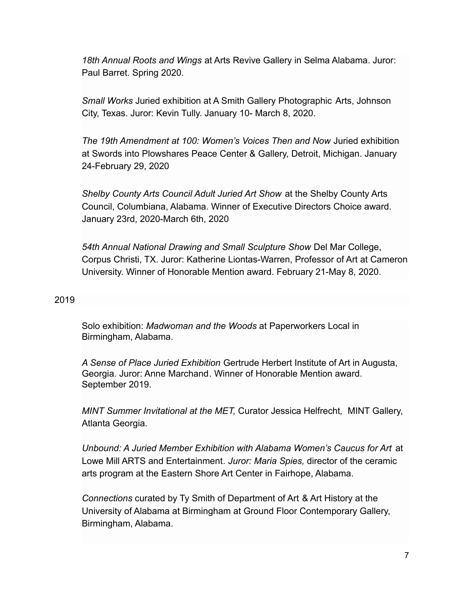*18th Annual Roots and Wings* at Arts Revive Gallery in Selma Alabama. Juror: Paul Barret. Spring 2020.

*Small Works* Juried exhibition at A Smith Gallery Photographic Arts, Johnson City, Texas. Juror: Kevin Tully. January 10- March 8, 2020.

*The 19th Amendment at 100: Women's Voices Then and Now* Juried exhibition at Swords into Plowshares Peace Center & Gallery, Detroit, Michigan. January 24-February 29, 2020

*Shelby County Arts Council Adult Juried Art Show* at the Shelby County Arts Council, Columbiana, Alabama. Winner of Executive Directors Choice award. January 23rd, 2020-March 6th, 2020

*54th Annual National Drawing and Small Sculpture Show* Del Mar College, Corpus Christi, TX. Juror: Katherine Liontas-Warren, Professor of Art at Cameron University. Winner of Honorable Mention award. February 21-May 8, 2020.

## 2019

Solo exhibition: *Madwoman and the Woods* at Paperworkers Local in Birmingham, Alabama.

*A Sense of Place Juried Exhibition* Gertrude Herbert Institute of Art in Augusta, Georgia. Juror: Anne Marchand. Winner of Honorable Mention award. September 2019.

*MINT Summer Invitational at the MET,* Curator Jessica Helfrecht*,* MINT Gallery, Atlanta Georgia.

*Unbound: A Juried Member Exhibition with Alabama Women's Caucus for Art* at Lowe Mill ARTS and Entertainment*. Juror: Maria Spies,* director of the ceramic arts program at the Eastern Shore Art Center in Fairhope, Alabama.

*Connections* curated by Ty Smith of Department of Art & Art History at the University of Alabama at Birmingham at Ground Floor Contemporary Gallery, Birmingham, Alabama.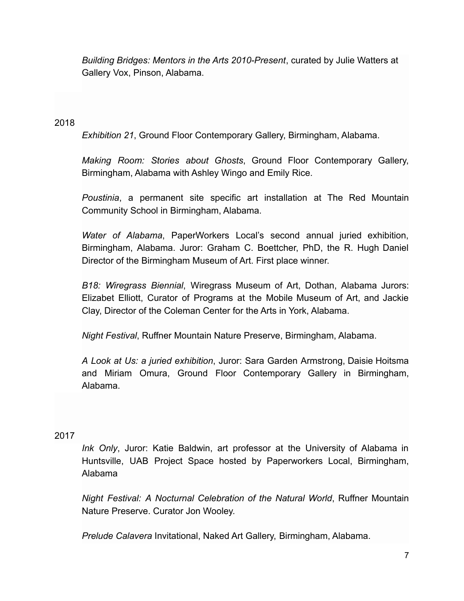*Building Bridges: Mentors in the Arts 2010-Present*, curated by Julie Watters at Gallery Vox, Pinson, Alabama.

# 2018

*Exhibition 21*, Ground Floor Contemporary Gallery, Birmingham, Alabama.

*Making Room: Stories about Ghosts*, Ground Floor Contemporary Gallery, Birmingham, Alabama with Ashley Wingo and Emily Rice.

*Poustinia*, a permanent site specific art installation at The Red Mountain Community School in Birmingham, Alabama.

*Water of Alabama*, PaperWorkers Local's second annual juried exhibition, Birmingham, Alabama. Juror: Graham C. Boettcher, PhD, the R. Hugh Daniel Director of the Birmingham Museum of Art. First place winner.

*B18: Wiregrass Biennial*, Wiregrass Museum of Art, Dothan, Alabama Jurors: Elizabet Elliott, Curator of Programs at the Mobile Museum of Art, and Jackie Clay, Director of the Coleman Center for the Arts in York, Alabama.

*Night Festival*, Ruffner Mountain Nature Preserve, Birmingham, Alabama.

*A Look at Us: a juried exhibition*, Juror: Sara Garden Armstrong, Daisie Hoitsma and Miriam Omura, Ground Floor Contemporary Gallery in Birmingham, Alabama.

# 2017

*Ink Only*, Juror: Katie Baldwin, art professor at the University of Alabama in Huntsville, UAB Project Space hosted by Paperworkers Local, Birmingham, Alabama

*Night Festival: A Nocturnal Celebration of the Natural World*, Ruffner Mountain Nature Preserve. Curator Jon Wooley.

*Prelude Calavera* Invitational, Naked Art Gallery, Birmingham, Alabama.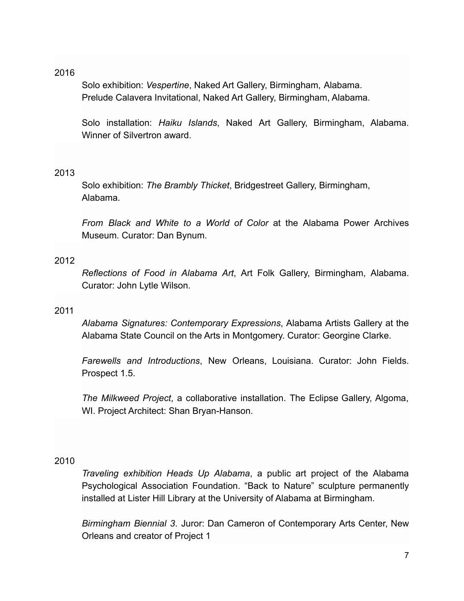## 2016

Solo exhibition: *Vespertine*, Naked Art Gallery, Birmingham, Alabama. Prelude Calavera Invitational, Naked Art Gallery, Birmingham, Alabama.

Solo installation: *Haiku Islands*, Naked Art Gallery, Birmingham, Alabama. Winner of Silvertron award.

# 2013

Solo exhibition: *The Brambly Thicket*, Bridgestreet Gallery, Birmingham, Alabama.

*From Black and White to a World of Color* at the Alabama Power Archives Museum. Curator: Dan Bynum.

## 2012

*Reflections of Food in Alabama Art*, Art Folk Gallery, Birmingham, Alabama. Curator: John Lytle Wilson.

## 2011

*Alabama Signatures: Contemporary Expressions*, Alabama Artists Gallery at the Alabama State Council on the Arts in Montgomery. Curator: Georgine Clarke.

*Farewells and Introductions*, New Orleans, Louisiana. Curator: John Fields. Prospect 1.5.

*The Milkweed Project*, a collaborative installation. The Eclipse Gallery, Algoma, WI. Project Architect: Shan Bryan-Hanson.

# 2010

*Traveling exhibition Heads Up Alabama*, a public art project of the Alabama Psychological Association Foundation. "Back to Nature" sculpture permanently installed at Lister Hill Library at the University of Alabama at Birmingham.

*Birmingham Biennial 3*. Juror: Dan Cameron of Contemporary Arts Center, New Orleans and creator of Project 1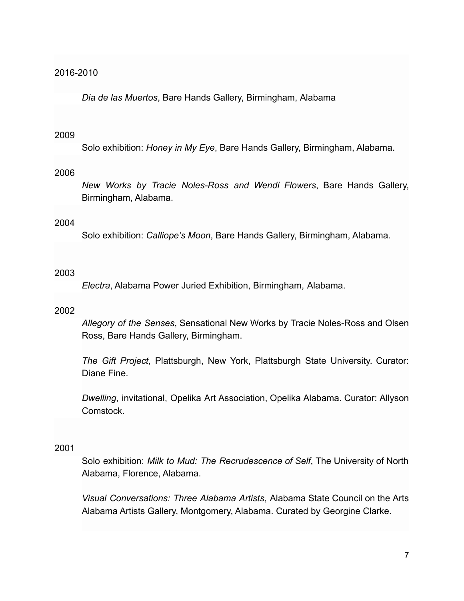#### 2016-2010

*Dia de las Muertos*, Bare Hands Gallery, Birmingham, Alabama

#### 2009

Solo exhibition: *Honey in My Eye*, Bare Hands Gallery, Birmingham, Alabama.

#### 2006

*New Works by Tracie Noles-Ross and Wendi Flowers*, Bare Hands Gallery, Birmingham, Alabama.

### 2004

Solo exhibition: *Calliope's Moon*, Bare Hands Gallery, Birmingham, Alabama.

#### 2003

*Electra*, Alabama Power Juried Exhibition, Birmingham, Alabama.

#### 2002

*Allegory of the Senses*, Sensational New Works by Tracie Noles-Ross and Olsen Ross, Bare Hands Gallery, Birmingham.

*The Gift Project*, Plattsburgh, New York, Plattsburgh State University. Curator: Diane Fine.

*Dwelling*, invitational, Opelika Art Association, Opelika Alabama. Curator: Allyson **Comstock** 

### 2001

Solo exhibition: *Milk to Mud: The Recrudescence of Self*, The University of North Alabama, Florence, Alabama.

*Visual Conversations: Three Alabama Artists*, Alabama State Council on the Arts Alabama Artists Gallery, Montgomery, Alabama. Curated by Georgine Clarke.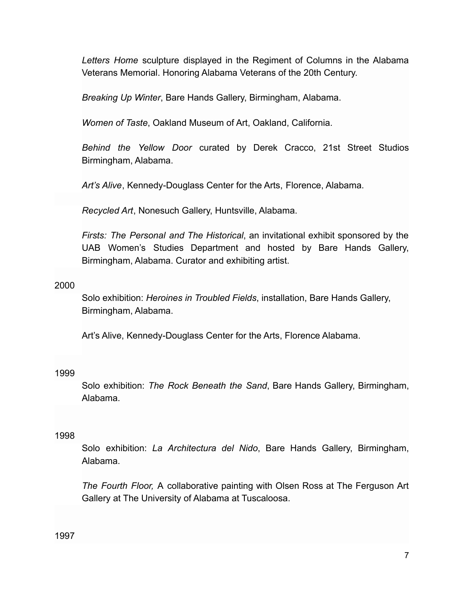*Letters Home* sculpture displayed in the Regiment of Columns in the Alabama Veterans Memorial. Honoring Alabama Veterans of the 20th Century.

*Breaking Up Winter*, Bare Hands Gallery, Birmingham, Alabama.

*Women of Taste*, Oakland Museum of Art, Oakland, California.

*Behind the Yellow Door* curated by Derek Cracco, 21st Street Studios Birmingham, Alabama.

*Art's Alive*, Kennedy-Douglass Center for the Arts, Florence, Alabama.

*Recycled Art*, Nonesuch Gallery, Huntsville, Alabama.

*Firsts: The Personal and The Historical*, an invitational exhibit sponsored by the UAB Women's Studies Department and hosted by Bare Hands Gallery, Birmingham, Alabama. Curator and exhibiting artist.

# 2000

Solo exhibition: *Heroines in Troubled Fields*, installation, Bare Hands Gallery, Birmingham, Alabama.

Art's Alive, Kennedy-Douglass Center for the Arts, Florence Alabama.

# 1999

Solo exhibition: *The Rock Beneath the Sand*, Bare Hands Gallery, Birmingham, Alabama.

# 1998

Solo exhibition: *La Architectura del Nido*, Bare Hands Gallery, Birmingham, Alabama.

*The Fourth Floor,* A collaborative painting with Olsen Ross at The Ferguson Art Gallery at The University of Alabama at Tuscaloosa.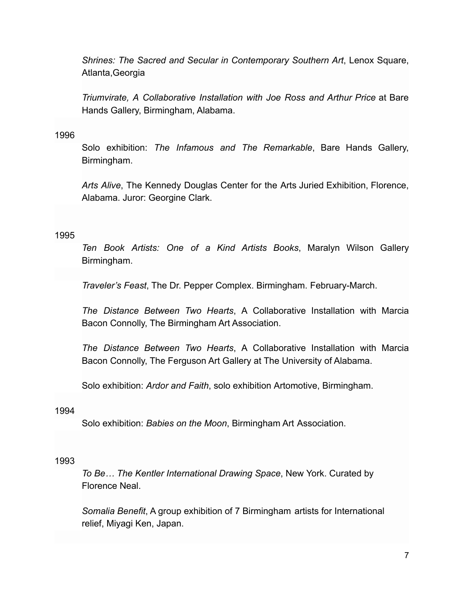*Shrines: The Sacred and Secular in Contemporary Southern Art*, Lenox Square, Atlanta,Georgia

*Triumvirate, A Collaborative Installation with Joe Ross and Arthur Price* at Bare Hands Gallery, Birmingham, Alabama.

#### 1996

Solo exhibition: *The Infamous and The Remarkable*, Bare Hands Gallery, Birmingham.

*Arts Alive*, The Kennedy Douglas Center for the Arts Juried Exhibition, Florence, Alabama. Juror: Georgine Clark.

#### 1995

*Ten Book Artists: One of a Kind Artists Books*, Maralyn Wilson Gallery Birmingham.

*Traveler's Feast*, The Dr. Pepper Complex. Birmingham. February-March.

*The Distance Between Two Hearts*, A Collaborative Installation with Marcia Bacon Connolly, The Birmingham Art Association.

*The Distance Between Two Hearts*, A Collaborative Installation with Marcia Bacon Connolly, The Ferguson Art Gallery at The University of Alabama.

Solo exhibition: *Ardor and Faith*, solo exhibition Artomotive, Birmingham.

### 1994

Solo exhibition: *Babies on the Moon*, Birmingham Art Association.

### 1993

*To Be… The Kentler International Drawing Space*, New York. Curated by Florence Neal.

*Somalia Benefit*, A group exhibition of 7 Birmingham artists for International relief, Miyagi Ken, Japan.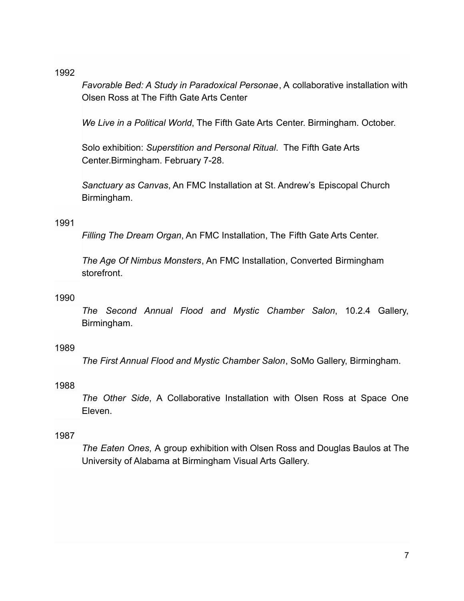1992

*Favorable Bed: A Study in Paradoxical Personae*, A collaborative installation with Olsen Ross at The Fifth Gate Arts Center

*We Live in a Political World*, The Fifth Gate Arts Center. Birmingham. October.

Solo exhibition: *Superstition and Personal Ritual*. The Fifth Gate Arts Center.Birmingham. February 7-28.

*Sanctuary as Canvas*, An FMC Installation at St. Andrew's Episcopal Church Birmingham.

## 1991

*Filling The Dream Organ*, An FMC Installation, The Fifth Gate Arts Center.

*The Age Of Nimbus Monsters*, An FMC Installation, Converted Birmingham storefront.

### 1990

*The Second Annual Flood and Mystic Chamber Salon*, 10.2.4 Gallery, Birmingham.

## 1989

*The First Annual Flood and Mystic Chamber Salon*, SoMo Gallery, Birmingham.

#### 1988

*The Other Side*, A Collaborative Installation with Olsen Ross at Space One Eleven.

#### 1987

*The Eaten Ones*, A group exhibition with Olsen Ross and Douglas Baulos at The University of Alabama at Birmingham Visual Arts Gallery.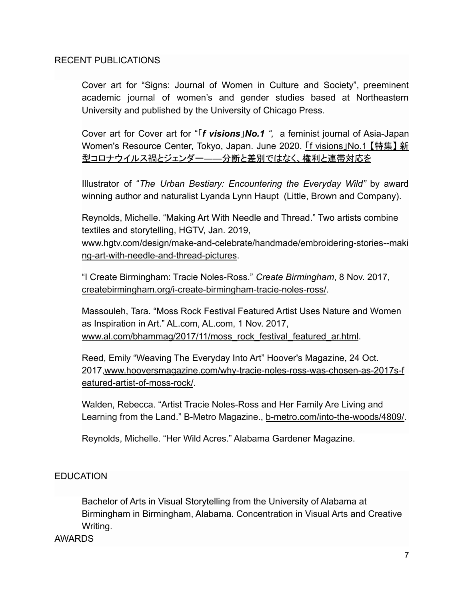## RECENT PUBLICATIONS

Cover art for "Signs: Journal of Women in Culture and Society", preeminent academic journal of women's and gender studies based at [Northeastern](http://neu.edu/) [University](http://neu.edu/) and published by the [University of Chicago](http://www.press.uchicago.edu/index.html) Press.

Cover art for Cover art for "「*f visions*」*No.1 ",* a feminist journal of Asia-Japan Women's Resource Center, Tokyo, Japan. June 2020. 「f [visions](https://jp.ajwrc.org/3918)」No.1【特集】 新 型コロナウイルス禍とジェンダー――[分断と差別ではなく、権利と連帯対応を](https://jp.ajwrc.org/3918)

Illustrator of "*The Urban Bestiary: Encountering the Everyday Wild"* by award winning author and naturalist Lyanda Lynn Haupt (Little, Brown and Company).

Reynolds, Michelle. "Making Art With Needle and Thread." Two artists combine textiles and storytelling, HGTV, Jan. 2019,

[www.hgtv.com/design/make-and-celebrate/handmade/embroidering-stories--maki](http://www.hgtv.com/design/make-and-celebrate/handmade/embroidering-stories--making-art-with-needle-and-thread-pictures) [ng-art-with-needle-and-thread-pictures.](http://www.hgtv.com/design/make-and-celebrate/handmade/embroidering-stories--making-art-with-needle-and-thread-pictures)

"I Create Birmingham: Tracie Noles-Ross." *Create Birmingham*, 8 Nov. 2017, [createbirmingham.org/i-create-birmingham-tracie-noles-ross/.](http://createbirmingham.org/i-create-birmingham-tracie-noles-ross/)

Massouleh, Tara. "Moss Rock Festival Featured Artist Uses Nature and Women as Inspiration in Art." AL.com, AL.com, 1 Nov. 2017, [www.al.com/bhammag/2017/11/moss\\_rock\\_festival\\_featured\\_ar.html](http://www.al.com/bhammag/2017/11/moss_rock_festival_featured_ar.html).

Reed, Emily "Weaving The Everyday Into Art" Hoover's Magazine, 24 Oct. 2017[,www.hooversmagazine.com/why-tracie-noles-ross-was-chosen-as-2017s-f](http://www.hooversmagazine.com/why-tracie-noles-ross-was-chosen-as-2017s-featured-artist-of-moss-rock/) [eatured-artist-of-moss-rock/](http://www.hooversmagazine.com/why-tracie-noles-ross-was-chosen-as-2017s-featured-artist-of-moss-rock/).

Walden, Rebecca. "Artist Tracie Noles-Ross and Her Family Are Living and Learning from the Land." B-Metro Magazine., [b-metro.com/into-the-woods/4809/.](http://b-metro.com/into-the-woods/4809/)

Reynolds, Michelle. "Her Wild Acres." Alabama Gardener Magazine.

# **EDUCATION**

Bachelor of Arts in Visual Storytelling from the University of Alabama at Birmingham in Birmingham, Alabama. Concentration in Visual Arts and Creative Writing.

## AWARDS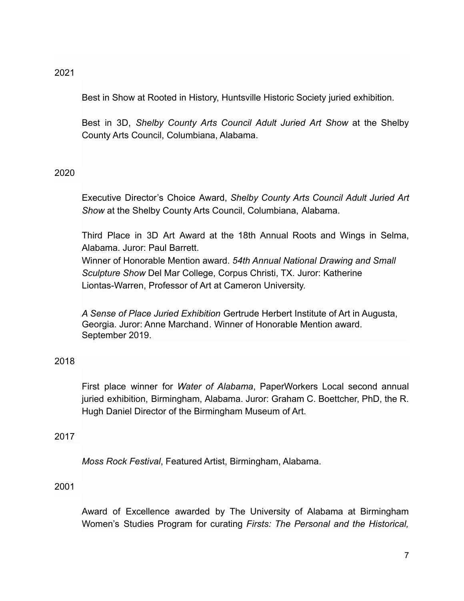# 2021

Best in Show at Rooted in History, Huntsville Historic Society juried exhibition.

Best in 3D, *Shelby County Arts Council Adult Juried Art Show* at the Shelby County Arts Council, Columbiana, Alabama.

# 2020

Executive Director's Choice Award, *Shelby County Arts Council Adult Juried Art Show* at the Shelby County Arts Council, Columbiana, Alabama.

Third Place in 3D Art Award at the 18th Annual Roots and Wings in Selma, Alabama. Juror: Paul Barrett.

Winner of Honorable Mention award. *54th Annual National Drawing and Small Sculpture Show* Del Mar College, Corpus Christi, TX. Juror: Katherine Liontas-Warren, Professor of Art at Cameron University.

*A Sense of Place Juried Exhibition* Gertrude Herbert Institute of Art in Augusta, Georgia. Juror: Anne Marchand. Winner of Honorable Mention award. September 2019.

# 2018

First place winner for *Water of Alabama*, PaperWorkers Local second annual juried exhibition, Birmingham, Alabama. Juror: Graham C. Boettcher, PhD, the R. Hugh Daniel Director of the Birmingham Museum of Art.

# 2017

*Moss Rock Festival*, Featured Artist, Birmingham, Alabama.

# 2001

Award of Excellence awarded by The University of Alabama at Birmingham Women's Studies Program for curating *Firsts: The Personal and the Historical,*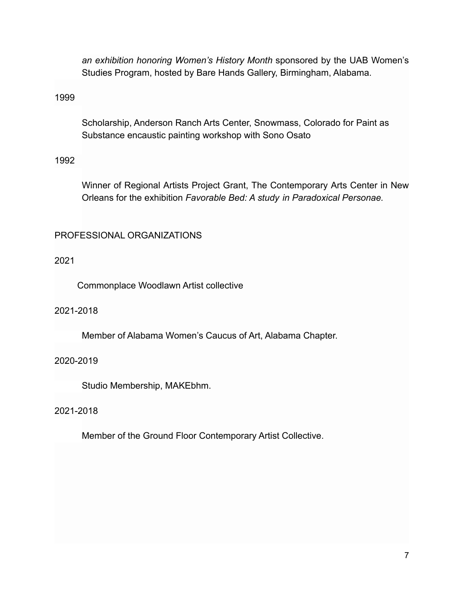*an exhibition honoring Women's History Month* sponsored by the UAB Women's Studies Program, hosted by Bare Hands Gallery, Birmingham, Alabama.

1999

Scholarship, Anderson Ranch Arts Center, Snowmass, Colorado for Paint as Substance encaustic painting workshop with Sono Osato

## 1992

Winner of Regional Artists Project Grant, The Contemporary Arts Center in New Orleans for the exhibition *Favorable Bed: A study in Paradoxical Personae.*

# PROFESSIONAL ORGANIZATIONS

## 2021

Commonplace Woodlawn Artist collective

## 2021-2018

Member of Alabama Women's Caucus of Art, Alabama Chapter.

## 2020-2019

Studio Membership, MAKEbhm.

## 2021-2018

Member of the Ground Floor Contemporary Artist Collective.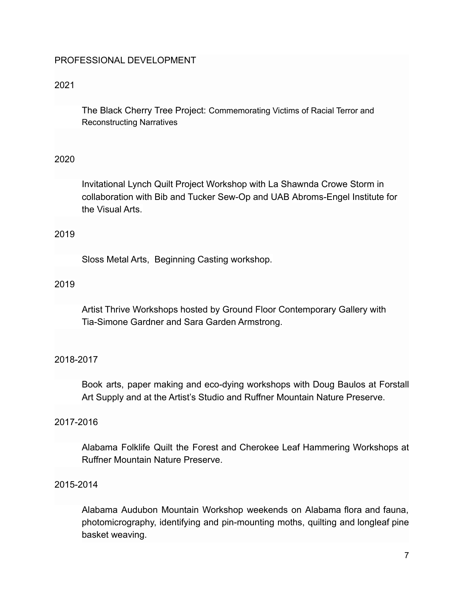## PROFESSIONAL DEVELOPMENT

## 2021

The Black Cherry Tree Project: Commemorating Victims of Racial Terror and Reconstructing Narratives

## 2020

Invitational Lynch Quilt Project Workshop with La Shawnda Crowe Storm in collaboration with Bib and Tucker Sew-Op and UAB Abroms-Engel Institute for the Visual Arts.

## 2019

Sloss Metal Arts, Beginning Casting workshop.

## 2019

Artist Thrive Workshops hosted by Ground Floor Contemporary Gallery with Tia-Simone Gardner and Sara Garden Armstrong.

## 2018-2017

Book arts, paper making and eco-dying workshops with Doug Baulos at Forstall Art Supply and at the Artist's Studio and Ruffner Mountain Nature Preserve.

## 2017-2016

Alabama Folklife Quilt the Forest and Cherokee Leaf Hammering Workshops at Ruffner Mountain Nature Preserve.

## 2015-2014

Alabama Audubon Mountain Workshop weekends on Alabama flora and fauna, photomicrography, identifying and pin-mounting moths, quilting and longleaf pine basket weaving.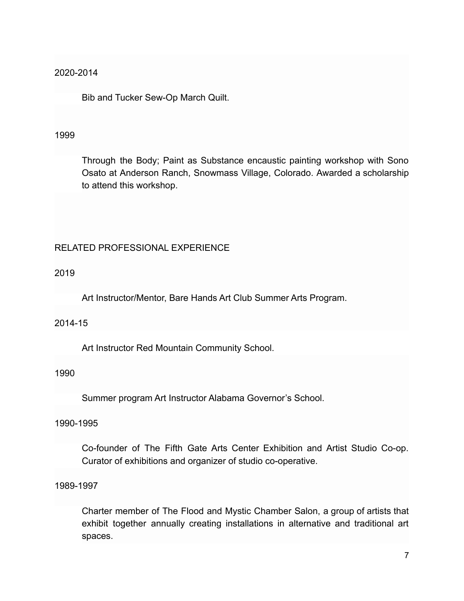## 2020-2014

Bib and Tucker Sew-Op March Quilt.

#### 1999

Through the Body; Paint as Substance encaustic painting workshop with Sono Osato at Anderson Ranch, Snowmass Village, Colorado. Awarded a scholarship to attend this workshop.

## RELATED PROFESSIONAL EXPERIENCE

## 2019

Art Instructor/Mentor, Bare Hands Art Club Summer Arts Program.

#### 2014-15

Art Instructor Red Mountain Community School.

### 1990

Summer program Art Instructor Alabama Governor's School.

1990-1995

Co-founder of The Fifth Gate Arts Center Exhibition and Artist Studio Co-op. Curator of exhibitions and organizer of studio co-operative.

1989-1997

Charter member of The Flood and Mystic Chamber Salon, a group of artists that exhibit together annually creating installations in alternative and traditional art spaces.